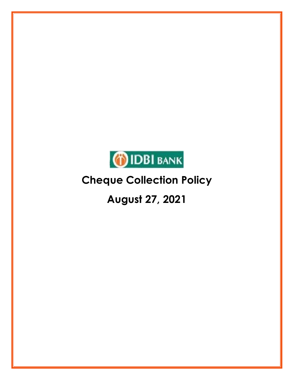

# **August 27, 2021**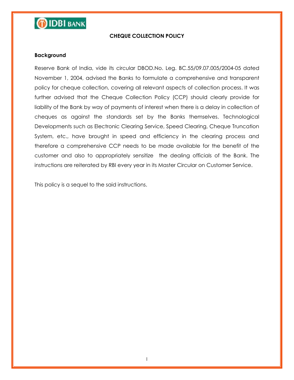

#### **CHEQUE COLLECTION POLICY**

#### **Background**

Reserve Bank of India, vide its circular DBOD.No. Leg. BC.55/09.07.005/2004-05 dated November 1, 2004, advised the Banks to formulate a comprehensive and transparent policy for cheque collection, covering all relevant aspects of collection process. It was further advised that the Cheque Collection Policy (CCP) should clearly provide for liability of the Bank by way of payments of interest when there is a delay in collection of cheques as against the standards set by the Banks themselves. Technological Developments such as Electronic Clearing Service, Speed Clearing, Cheque Truncation System, etc., have brought in speed and efficiency in the clearing process and therefore a comprehensive CCP needs to be made available for the benefit of the customer and also to appropriately sensitize the dealing officials of the Bank. The instructions are reiterated by RBI every year in its Master Circular on Customer Service.

This policy is a sequel to the said instructions.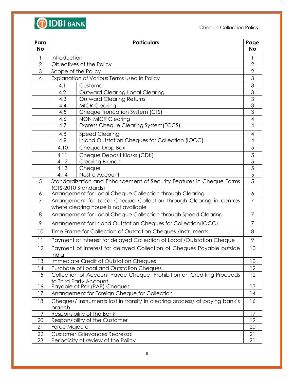

| Para<br><b>No</b> | <b>Particulars</b><br>Page                                                                      |                |  |
|-------------------|-------------------------------------------------------------------------------------------------|----------------|--|
| $\mathbf{1}$      | Introduction                                                                                    |                |  |
| $\overline{2}$    | Objectives of the Policy                                                                        |                |  |
| 3                 | Scope of the Policy                                                                             |                |  |
| $\overline{4}$    | Explanation of Various Terms used in Policy                                                     |                |  |
|                   | Customer<br>4.1                                                                                 |                |  |
|                   | 4.2<br>Outward Clearing-Local Clearing                                                          | 3              |  |
|                   | 4.3<br><b>Outward Clearing Returns</b>                                                          | 3              |  |
|                   | <b>MICR Clearing</b><br>4.4                                                                     | 3              |  |
|                   | 4.5<br>Cheque Truncation System (CTS)                                                           | 3              |  |
|                   | <b>NON MICR Clearing</b><br>4.6                                                                 | 4              |  |
|                   | 4.7<br>Express Cheque Clearing System(ECCS)                                                     | $\overline{4}$ |  |
|                   | <b>Speed Clearing</b><br>4.8                                                                    | 4              |  |
|                   | Inland Outstation Cheques for Collection (IOCC)<br>4.9                                          | 4              |  |
|                   | 4.10<br>Cheque Drop Box                                                                         | 5              |  |
|                   | 4.11<br>Cheque Deposit Kiosks (CDK)                                                             | 5              |  |
|                   | Clearing Branch<br>4.12                                                                         | $\overline{5}$ |  |
|                   | Cheque<br>4.13                                                                                  | $\overline{5}$ |  |
|                   | Nostro Account<br>4.14                                                                          | 5              |  |
| 5                 | Standardization and Enhancement of Security Features in Cheque Forms                            | 5              |  |
| 6                 | (CTS-2010 Standards)<br>Arrangement for Local Cheque Collection through Clearing                | 6              |  |
| $\overline{7}$    | Arrangement for Local Cheque Collection through Clearing in centres                             | $\overline{7}$ |  |
|                   | where clearing house is not available                                                           |                |  |
| 8                 | Arrangement for Local Cheque Collection through Speed Clearing                                  | 7              |  |
| 9                 | Arrangement for Inland Outstation Cheques for Collection(IOCC)                                  | $\overline{7}$ |  |
| 10                | Time Frame for Collection of Outstation Cheques /Instruments<br>8                               |                |  |
| 11                | Payment of Interest for delayed Collection of Local /Outstation Cheque<br>9                     |                |  |
| 12                | 10<br>Payment of Interest for delayed Collection of Cheques Payable outside<br>India            |                |  |
| 13                | Immediate Credit of Outstation Cheques                                                          | 10             |  |
| 14                | Purchase of Local and Outstation Cheques                                                        | 12             |  |
| 15                | Collection of Account Payee Cheque- Prohibition on Crediting Proceeds<br>to Third Party Account | 12             |  |
| 16                | Payable at Par (PAP) Cheques                                                                    | 13             |  |
| 17                | Arrangement for Foreign Cheque for Collection                                                   | 14             |  |
| 18                | Cheques/Instruments lost in transit/ in clearing process/ at paying bank's<br>16<br>branch      |                |  |
| 19                | Responsibility of the Bank<br>17                                                                |                |  |
| 20                | 19<br>Responsibility of the Customer                                                            |                |  |
| 21                | Force Majeure<br>20                                                                             |                |  |
| 22                | <b>Customer Grievances Redressal</b><br>21                                                      |                |  |
| 23                | Periodicity of review of the Policy                                                             | 21             |  |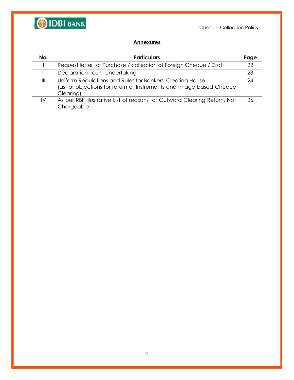

#### **Annexures**

| No.           | <b>Particulars</b>                                                                                                                              | Page |
|---------------|-------------------------------------------------------------------------------------------------------------------------------------------------|------|
|               | Request letter for Purchase / collection of Foreign Cheque / Draft                                                                              | 22   |
|               | Declaration -cum-Undertaking                                                                                                                    | 23   |
| $\parallel$   | Uniform Regulations and Rules for Bankers' Clearing House<br>(List of objections for return of Instruments and Image based Cheque<br>Clearing). | 24   |
| $\mathsf{IV}$ | As per RBI, Illustrative List of reasons for Outward Clearing Return, Not<br>Chargeable.                                                        | 26   |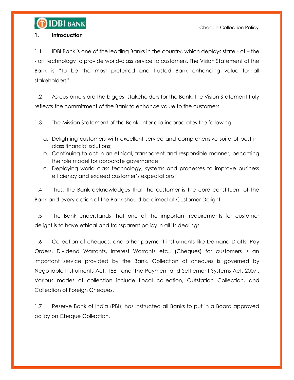

#### **1. Introduction**

1.1 IDBI Bank is one of the leading Banks in the country, which deploys state - of – the - art technology to provide world-class service to customers. The Vision Statement of the Bank is "To be the most preferred and trusted Bank enhancing value for all stakeholders".

1.2 As customers are the biggest stakeholders for the Bank, the Vision Statement truly reflects the commitment of the Bank to enhance value to the customers.

1.3 The Mission Statement of the Bank, inter alia incorporates the following:

- a. Delighting customers with excellent service and comprehensive suite of best-inclass financial solutions;
- b. Continuing to act in an ethical, transparent and responsible manner, becoming the role model for corporate governance;
- c. Deploying world class technology, systems and processes to improve business efficiency and exceed customer"s expectations;

1.4 Thus, the Bank acknowledges that the customer is the core constituent of the Bank and every action of the Bank should be aimed at Customer Delight.

1.5 The Bank understands that one of the important requirements for customer delight is to have ethical and transparent policy in all its dealings.

1.6 Collection of cheques, and other payment instruments like Demand Drafts, Pay Orders, Dividend Warrants, Interest Warrants etc., (Cheques) for customers is an important service provided by the Bank. Collection of cheques is governed by Negotiable Instruments Act, 1881 and 'The Payment and Settlement Systems Act, 2007'. Various modes of collection include Local collection, Outstation Collection, and Collection of Foreign Cheques.

1.7 Reserve Bank of India (RBI), has instructed all Banks to put in a Board approved policy on Cheque Collection.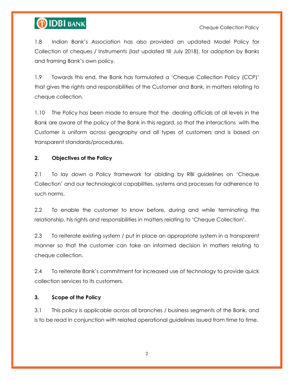# **OIDBI BANK**

1.8 Indian Bank"s Association has also provided an updated Model Policy for Collection of cheques / Instruments (last updated till July 2018), for adoption by Banks and framing Bank"s own policy.

1.9 Towards this end, the Bank has formulated a "Cheque Collection Policy (CCP)" that gives the rights and responsibilities of the Customer and Bank, in matters relating to cheque collection.

1.10 The Policy has been made to ensure that the dealing officials at all levels in the Bank are aware of the policy of the Bank in this regard, so that the interactions with the Customer is uniform across geography and all types of customers and is based on transparent standards/procedures.

### **2. Objectives of the Policy**

2.1 To lay down a Policy framework for abiding by RBI guidelines on "Cheque Collection" and our technological capabilities, systems and processes for adherence to such norms.

2.2 To enable the customer to know before, during and while terminating the relationship, his rights and responsibilities in matters relating to "Cheque Collection".

2.3 To reiterate existing system / put in place an appropriate system in a transparent manner so that the customer can take an informed decision in matters relating to cheque collection.

2.4 To reiterate Bank"s commitment for increased use of technology to provide quick collection services to its customers.

### **3. Scope of the Policy**

3.1 This policy is applicable across all branches / business segments of the Bank, and is to be read in conjunction with related operational guidelines issued from time to time.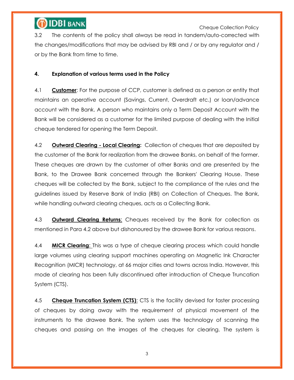

 Cheque Collection Policy 3.2 The contents of the policy shall always be read in tandem/auto-corrected with the changes/modifications that may be advised by RBI and / or by any regulator and / or by the Bank from time to time.

### **4. Explanation of various terms used in the Policy**

4.1 **Customer**: For the purpose of CCP, customer is defined as a person or entity that maintains an operative account (Savings, Current, Overdraft etc.) or loan/advance account with the Bank. A person who maintains only a Term Deposit Account with the Bank will be considered as a customer for the limited purpose of dealing with the Initial cheque tendered for opening the Term Deposit.

4.2 **Outward Clearing - Local Clearing:** Collection of cheques that are deposited by the customer of the Bank for realization from the drawee Banks, on behalf of the former. These cheques are drawn by the customer of other Banks and are presented by the Bank, to the Drawee Bank concerned through the Bankers' Clearing House. These cheques will be collected by the Bank, subject to the compliance of the rules and the guidelines issued by Reserve Bank of India (RBI) on Collection of Cheques. The Bank, while handling outward clearing cheques, acts as a Collecting Bank.

4.3 **Outward Clearing Returns**: Cheques received by the Bank for collection as mentioned in Para 4.2 above but dishonoured by the drawee Bank for various reasons.

4.4 **MICR Clearing**: This was a type of cheque clearing process which could handle large volumes using clearing support machines operating on Magnetic Ink Character Recognition (MICR) technology, at 66 major cities and towns across India. However, this mode of clearing has been fully discontinued after introduction of Cheque Truncation System (CTS).

4.5 **Cheque Truncation System (CTS)**: CTS is the facility devised for faster processing of cheques by doing away with the requirement of physical movement of the instruments to the drawee Bank. The system uses the technology of scanning the cheques and passing on the images of the cheques for clearing. The system is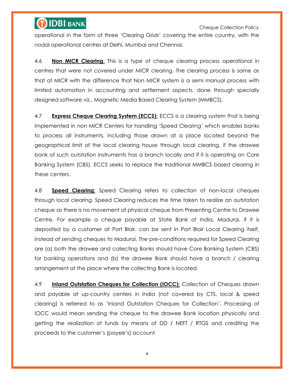Cheque Collection Policy

operational in the form of three "Clearing Grids" covering the entire country, with the nodal operational centres at Delhi, Mumbai and Chennai.

4.6 **Non MICR Clearing**: This is a type of cheque clearing process operational in centres that were not covered under MICR clearing. The clearing process is same as that of MICR with the difference that Non MICR system is a semi manual process with limited automation in accounting and settlement aspects, done through specially designed software viz., Magnetic Media Based Clearing System (MMBCS).

4.7 **Express Cheque Clearing System (ECCS)**: ECCS is a clearing system that is being implemented in non MICR Centers for handling "Speed Clearing" which enables banks to process all instruments, including those drawn at a place located beyond the geographical limit of the local clearing house through local clearing, if the drawee bank of such outstation instruments has a branch locally and if it is operating on Core Banking System (CBS). ECCS seeks to replace the traditional MMBCS based clearing in these centers.

4.8 **Speed Clearing**: Speed Clearing refers to collection of non-local cheques through local clearing. Speed Clearing reduces the time taken to realize an outstation cheque as there is no movement of physical cheque from Presenting Centre to Drawee Centre. For example a cheque payable at State Bank of India, Madurai, if it is deposited by a customer at Port Blair, can be sent in Port Blair Local Clearing itself, instead of sending cheques to Madurai. The pre-conditions required for Speed Clearing are (a) both the drawee and collecting Banks should have Core Banking System (CBS) for banking operations and (b) the drawee Bank should have a branch / clearing arrangement at the place where the collecting Bank is located.

4.9 **Inland Outstation Cheques for Collection (IOCC)**: Collection of Cheques drawn and payable at up-country centers in India (not covered by CTS, local & speed clearing) is referred to as "Inland Outstation Cheques for Collection". Processing of IOCC would mean sending the cheque to the drawee Bank location physically and getting the realization of funds by means of DD / NEFT / RTGS and crediting the proceeds to the customer"s (payee"s) account.

4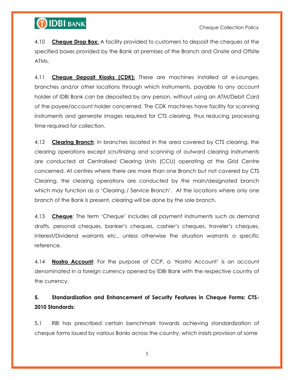

4.10 **Cheque Drop Box**: A facility provided to customers to deposit the cheques at the specified boxes provided by the Bank at premises of the Branch and Onsite and Offsite ATMs.

4.11 **Cheque Deposit Kiosks (CDK):** These are machines installed at e-Lounges, branches and/or other locations through which instruments, payable to any account holder of IDBI Bank can be deposited by any person, without using an ATM/Debit Card of the payee/account holder concerned. The CDK machines have facility for scanning instruments and generate images required for CTS clearing, thus reducing processing time required for collection.

4.12 **Clearing Branch**: In branches located in the area covered by CTS clearing, the clearing operations except scrutinizing and scanning of outward clearing instruments are conducted at Centralised Clearing Units (CCU) operating at the Grid Centre concerned. At centres where there are more than one Branch but not covered by CTS Clearing, the clearing operations are conducted by the main/designated branch which may function as a 'Clearing / Service Branch'. At the locations where only one branch of the Bank is present, clearing will be done by the sole branch.

4.13 **Cheque**: The term "Cheque" includes all payment instruments such as demand drafts, personal cheques, banker"s cheques, cashier"s cheques, traveler"s cheques, Interest/Dividend warrants etc., unless otherwise the situation warrants a specific reference.

4.14 **Nostro Account**: For the purpose of CCP, a "Nostro Account" is an account denominated in a foreign currency opened by IDBI Bank with the respective country of the currency.

### **5. Standardization and Enhancement of Security Features in Cheque Forms: CTS-2010 Standards:**

5.1 RBI has prescribed certain benchmark towards achieving standardization of cheque forms issued by various Banks across the country, which insists provision of some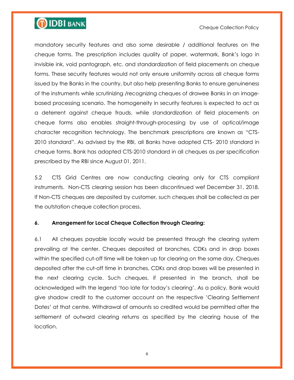# **OIDBI BANK**

#### Cheque Collection Policy

mandatory security features and also some desirable / additional features on the cheque forms. The prescription includes quality of paper, watermark, Bank"s logo in invisible ink, void pantograph, etc. and standardization of field placements on cheque forms. These security features would not only ensure uniformity across all cheque forms issued by the Banks in the country, but also help presenting Banks to ensure genuineness of the instruments while scrutinizing /recognizing cheques of drawee Banks in an imagebased processing scenario. The homogeneity in security features is expected to act as a deterrent against cheque frauds, while standardization of field placements on cheque forms also enables straight-through-processing by use of optical/image character recognition technology. The benchmark prescriptions are known as "CTS-2010 standard". As advised by the RBI, all Banks have adopted CTS- 2010 standard in cheque forms. Bank has adopted CTS-2010 standard in all cheques as per specification prescribed by the RBI since August 01, 2011.

5.2 CTS Grid Centres are now conducting clearing only for CTS compliant instruments. Non-CTS clearing session has been discontinued wef December 31, 2018. If Non-CTS cheques are deposited by customer, such cheques shall be collected as per the outstation cheque collection process.

#### **6. Arrangement for Local Cheque Collection through Clearing:**

6.1 All cheques payable locally would be presented through the clearing system prevailing at the center. Cheques deposited at branches, CDKs and in drop boxes within the specified cut-off time will be taken up for clearing on the same day. Cheques deposited after the cut-off time in branches, CDKs and drop boxes will be presented in the next clearing cycle. Such cheques, if presented in the branch, shall be acknowledged with the legend "too late for today"s clearing". As a policy, Bank would give shadow credit to the customer account on the respective "Clearing Settlement Dates" at that centre. Withdrawal of amounts so credited would be permitted after the settlement of outward clearing returns as specified by the clearing house of the location.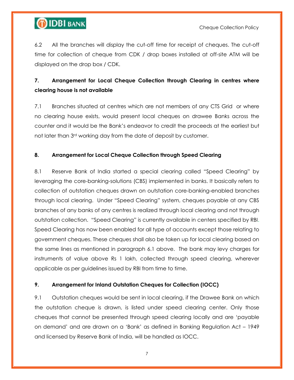

6.2 All the branches will display the cut-off time for receipt of cheques. The cut-off time for collection of cheque from CDK / drop boxes installed at off-site ATM will be displayed on the drop box / CDK.

### **7. Arrangement for Local Cheque Collection through Clearing in centres where clearing house is not available**

7.1 Branches situated at centres which are not members of any CTS Grid or where no clearing house exists, would present local cheques on drawee Banks across the counter and it would be the Bank"s endeavor to credit the proceeds at the earliest but not later than 3<sup>rd</sup> working day from the date of deposit by customer.

### **8. Arrangement for Local Cheque Collection through Speed Clearing**

8.1 Reserve Bank of India started a special clearing called "Speed Clearing" by leveraging the core-banking-solutions (CBS) implemented in banks. It basically refers to collection of outstation cheques drawn on outstation core-banking-enabled branches through local clearing. Under "Speed Clearing" system, cheques payable at any CBS branches of any banks of any centres is realized through local clearing and not through outstation collection. "Speed Clearing" is currently available in centers specified by RBI. Speed Clearing has now been enabled for all type of accounts except those relating to government cheques. These cheques shall also be taken up for local clearing based on the same lines as mentioned in paragraph 6.1 above. The bank may levy charges for instruments of value above Rs 1 lakh, collected through speed clearing, wherever applicable as per guidelines issued by RBI from time to time.

#### **9. Arrangement for Inland Outstation Cheques for Collection (IOCC)**

9.1 Outstation cheques would be sent in local clearing, if the Drawee Bank on which the outstation cheque is drawn, is listed under speed clearing center. Only those cheques that cannot be presented through speed clearing locally and are "payable on demand" and are drawn on a "Bank" as defined in Banking Regulation Act – 1949 and licensed by Reserve Bank of India, will be handled as IOCC.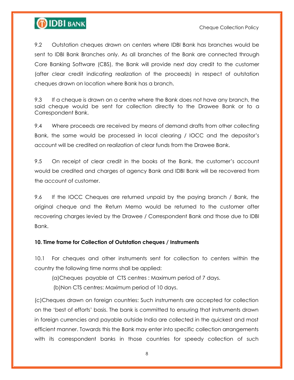



9.2 Outstation cheques drawn on centers where IDBI Bank has branches would be sent to IDBI Bank Branches only. As all branches of the Bank are connected through Core Banking Software (CBS), the Bank will provide next day credit to the customer (after clear credit indicating realization of the proceeds) in respect of outstation cheques drawn on location where Bank has a branch.

9.3 If a cheque is drawn on a centre where the Bank does not have any branch, the said cheque would be sent for collection directly to the Drawee Bank or to a Correspondent Bank.

9.4 Where proceeds are received by means of demand drafts from other collecting Bank, the same would be processed in local clearing / IOCC and the depositor"s account will be credited on realization of clear funds from the Drawee Bank.

9.5 On receipt of clear credit in the books of the Bank, the customer"s account would be credited and charges of agency Bank and IDBI Bank will be recovered from the account of customer.

9.6 If the IOCC Cheques are returned unpaid by the paying branch / Bank, the original cheque and the Return Memo would be returned to the customer after recovering charges levied by the Drawee / Correspondent Bank and those due to IDBI Bank.

#### **10. Time frame for Collection of Outstation cheques / Instruments**

10.1 For cheques and other instruments sent for collection to centers within the country the following time norms shall be applied:

(a)Cheques payable at CTS centres : Maximum period of 7 days.

(b)Non CTS centres: Maximum period of 10 days.

(c)Cheques drawn on foreign countries: Such instruments are accepted for collection on the "best of efforts" basis. The bank is committed to ensuring that instruments drawn in foreign currencies and payable outside India are collected in the quickest and most efficient manner. Towards this the Bank may enter into specific collection arrangements with its correspondent banks in those countries for speedy collection of such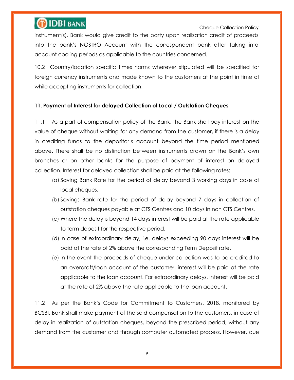Cheque Collection Policy

instrument(s). Bank would give credit to the party upon realization credit of proceeds into the bank"s NOSTRO Account with the correspondent bank after taking into account cooling periods as applicable to the countries concerned.

10.2 Country/location specific times norms wherever stipulated will be specified for foreign currency instruments and made known to the customers at the point in time of while accepting instruments for collection.

### **11. Payment of Interest for delayed Collection of Local / Outstation Cheques**

11.1 As a part of compensation policy of the Bank, the Bank shall pay interest on the value of cheque without waiting for any demand from the customer, if there is a delay in crediting funds to the depositor"s account beyond the time period mentioned above. There shall be no distinction between instruments drawn on the Bank"s own branches or on other banks for the purpose of payment of interest on delayed collection. Interest for delayed collection shall be paid at the following rates:

- (a) Saving Bank Rate for the period of delay beyond 3 working days in case of local cheques.
- (b) Savings Bank rate for the period of delay beyond 7 days in collection of outstation cheques payable at CTS Centres and 10 days in non CTS Centres.
- (c) Where the delay is beyond 14 days interest will be paid at the rate applicable to term deposit for the respective period.
- (d) In case of extraordinary delay, i.e. delays exceeding 90 days interest will be paid at the rate of 2% above the corresponding Term Deposit rate.
- (e) In the event the proceeds of cheque under collection was to be credited to an overdraft/loan account of the customer, interest will be paid at the rate applicable to the loan account. For extraordinary delays, interest will be paid at the rate of 2% above the rate applicable to the loan account.

11.2 As per the Bank"s Code for Commitment to Customers, 2018, monitored by BCSBI, Bank shall make payment of the said compensation to the customers, in case of delay in realization of outstation cheques, beyond the prescribed period, without any demand from the customer and through computer automated process. However, due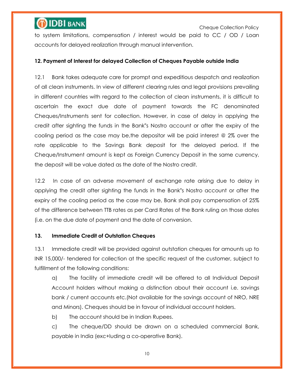

to system limitations, compensation / interest would be paid to CC / OD / Loan accounts for delayed realization through manual intervention.

#### **12. Payment of Interest for delayed Collection of Cheques Payable outside India**

12.1 Bank takes adequate care for prompt and expeditious despatch and realization of all clean instruments. In view of different clearing rules and legal provisions prevailing in different countries with regard to the collection of clean instruments, it is difficult to ascertain the exact due date of payment towards the FC denominated Cheques/Instruments sent for collection. However, in case of delay in applying the credit after sighting the funds in the Bank"s Nostro account or after the expiry of the cooling period as the case may be,the depositor will be paid interest @ 2% over the rate applicable to the Savings Bank deposit for the delayed period. If the Cheque/Instrument amount is kept as Foreign Currency Deposit in the same currency, the deposit will be value dated as the date of the Nostro credit.

12.2 In case of an adverse movement of exchange rate arising due to delay in applying the credit after sighting the funds in the Bank"s Nostro account or after the expiry of the cooling period as the case may be, Bank shall pay compensation of 25% of the difference between TTB rates as per Card Rates of the Bank ruling on those dates (i.e. on the due date of payment and the date of conversion.

#### **13. Immediate Credit of Outstation Cheques**

13.1 Immediate credit will be provided against outstation cheques for amounts up to INR 15,000/- tendered for collection at the specific request of the customer, subject to fulfillment of the following conditions:

a) The facility of immediate credit will be offered to all Individual Deposit Account holders without making a distinction about their account i.e. savings bank / current accounts etc.(Not available for the savings account of NRO, NRE and Minors). Cheques should be in favour of individual account holders.

b) The account should be in Indian Rupees.

c) The cheque/DD should be drawn on a scheduled commercial Bank, payable in India (exc+luding a co-operative Bank).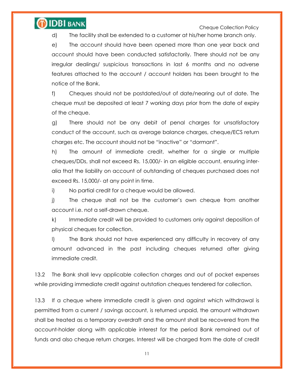## **OIDBI BANK**

Cheque Collection Policy

d) The facility shall be extended to a customer at his/her home branch only.

e) The account should have been opened more than one year back and account should have been conducted satisfactorily. There should not be any irregular dealings/ suspicious transactions in last 6 months and no adverse features attached to the account / account holders has been brought to the notice of the Bank.

f) Cheques should not be postdated/out of date/nearing out of date. The cheque must be deposited at least 7 working days prior from the date of expiry of the cheque.

g) There should not be any debit of penal charges for unsatisfactory conduct of the account, such as average balance charges, cheque/ECS return charges etc. The account should not be "inactive" or "dormant".

h) The amount of immediate credit, whether for a single or multiple cheques/DDs, shall not exceed Rs. 15,000/- in an eligible account, ensuring interalia that the liability on account of outstanding of cheques purchased does not exceed Rs. 15,000/- at any point in time.

i) No partial credit for a cheque would be allowed.

j) The cheque shall not be the customer"s own cheque from another account i.e. not a self-drawn cheque.

k) Immediate credit will be provided to customers only against deposition of physical cheques for collection.

l) The Bank should not have experienced any difficulty in recovery of any amount advanced in the past including cheques returned after giving immediate credit.

13.2 The Bank shall levy applicable collection charges and out of pocket expenses while providing immediate credit against outstation cheques tendered for collection.

13.3 If a cheque where immediate credit is given and against which withdrawal is permitted from a current / savings account, is returned unpaid, the amount withdrawn shall be treated as a temporary overdraft and the amount shall be recovered from the account-holder along with applicable interest for the period Bank remained out of funds and also cheque return charges. Interest will be charged from the date of credit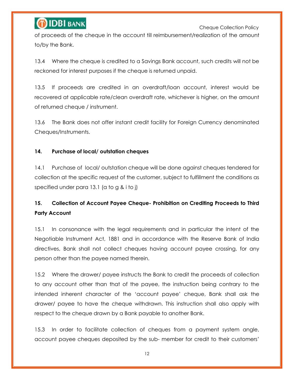Cheque Collection Policy

of proceeds of the cheque in the account till reimbursement/realization of the amount to/by the Bank.

13.4 Where the cheque is credited to a Savings Bank account, such credits will not be reckoned for interest purposes if the cheque is returned unpaid.

13.5 If proceeds are credited in an overdraft/loan account, interest would be recovered at applicable rate/clean overdraft rate, whichever is higher, on the amount of returned cheque / instrument.

13.6 The Bank does not offer instant credit facility for Foreign Currency denominated Cheques/Instruments.

### **14. Purchase of local/ outstation cheques**

14.1 Purchase of local/ outstation cheque will be done against cheques tendered for collection at the specific request of the customer, subject to fulfillment the conditions as specified under para 13.1 (a to g & i to j)

## **15. Collection of Account Payee Cheque- Prohibition on Crediting Proceeds to Third Party Account**

15.1 In consonance with the legal requirements and in particular the intent of the Negotiable Instrument Act, 1881 and in accordance with the Reserve Bank of India directives, Bank shall not collect cheques having account payee crossing, for any person other than the payee named therein.

15.2 Where the drawer/ payee instructs the Bank to credit the proceeds of collection to any account other than that of the payee, the instruction being contrary to the intended inherent character of the "account payee" cheque, Bank shall ask the drawer/ payee to have the cheque withdrawn. This instruction shall also apply with respect to the cheque drawn by a Bank payable to another Bank.

15.3 In order to facilitate collection of cheques from a payment system angle, account payee cheques deposited by the sub- member for credit to their customers"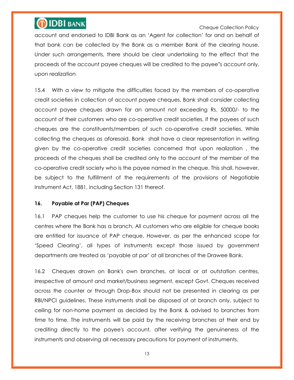Cheque Collection Policy

account and endorsed to IDBI Bank as an "Agent for collection" for and on behalf of that bank can be collected by the Bank as a member Bank of the clearing house. Under such arrangements, there should be clear undertaking to the effect that the proceeds of the account payee cheques will be credited to the payee"s account only, upon realization.

15.4 With a view to mitigate the difficulties faced by the members of co-operative credit societies in collection of account payee cheques, Bank shall consider collecting account payee cheques drawn for an amount not exceeding Rs. 50000/- to the account of their customers who are co-operative credit societies, if the payees of such cheques are the constituents/members of such co-operative credit societies. While collecting the cheques as aforesaid, Bank shall have a clear representation in writing given by the co-operative credit societies concerned that upon realization , the proceeds of the cheques shall be credited only to the account of the member of the co-operative credit society who is the payee named in the cheque. This shall, however, be subject to the fulfillment of the requirements of the provisions of Negotiable Instrument Act, 1881, including Section 131 thereof.

#### **16. Payable at Par (PAP) Cheques**

16.1 PAP cheques help the customer to use his cheque for payment across all the centres where the Bank has a branch. All customers who are eligible for cheque books are entitled for issuance of PAP cheque. However, as per the enhanced scope for "Speed Clearing", all types of instruments except those issued by government departments are treated as "payable at par" at all branches of the Drawee Bank.

16.2 Cheques drawn on Bank's own branches, at local or at outstation centres, irrespective of amount and market/business segment, except Govt. Cheques received across the counter or through Drop-Box should not be presented in clearing as per RBI/NPCI guidelines. These instruments shall be disposed of at branch only, subject to ceiling for non-home payment as decided by the Bank & advised to branches from time to time. The instruments will be paid by the receiving branches at their end by crediting directly to the payee's account, after verifying the genuineness of the instruments and observing all necessary precautions for payment of instruments.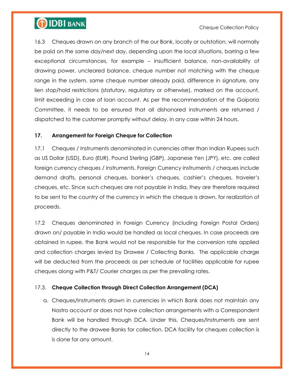

16.3 Cheques drawn on any branch of the our Bank, locally or outstation, will normally be paid on the same day/next day, depending upon the local situations, barring a few exceptional circumstances, for example – insufficient balance, non-availability of drawing power, uncleared balance, cheque number not matching with the cheque range in the system, same cheque number already paid, difference in signature, any lien stop/hold restrictions (statutory, regulatory or otherwise), marked on the account, limit exceeding in case of loan account. As per the recommendation of the Goiporia Committee, it needs to be ensured that all dishonored instruments are returned / dispatched to the customer promptly without delay, in any case within 24 hours.

#### **17. Arrangement for Foreign Cheque for Collection**

17.1 Cheques / Instruments denominated in currencies other than Indian Rupees such as US Dollar (USD), Euro (EUR), Pound Sterling (GBP), Japanese Yen (JPY), etc. are called foreign currency cheques / instruments. Foreign Currency instruments / cheques include demand drafts, personal cheques, banker"s cheques, cashier"s cheques, traveler"s cheques, etc. Since such cheques are not payable in India, they are therefore required to be sent to the country of the currency in which the cheque is drawn, for realization of proceeds.

17.2 Cheques denominated in Foreign Currency (including Foreign Postal Orders) drawn on/ payable in India would be handled as local cheques. In case proceeds are obtained in rupee, the Bank would not be responsible for the conversion rate applied and collection charges levied by Drawee / Collecting Banks. The applicable charge will be deducted from the proceeds as per schedule of facilities applicable for rupee cheques along with P&T/ Courier charges as per the prevailing rates.

#### 17.3. **Cheque Collection through Direct Collection Arrangement (DCA)**

a. Cheques/Instruments drawn in currencies in which Bank does not maintain any Nostro account or does not have collection arrangements with a Correspondent Bank will be handled through DCA. Under this, Cheques/Instruments are sent directly to the drawee Banks for collection. DCA facility for cheques collection is is done for any amount.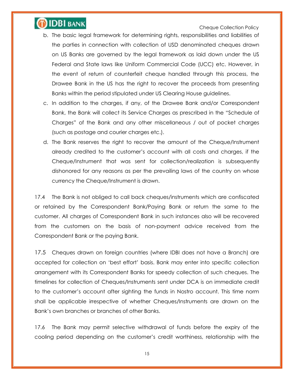

- b. The basic legal framework for determining rights, responsibilities and liabilities of the parties in connection with collection of USD denominated cheques drawn on US Banks are governed by the legal framework as laid down under the US Federal and State laws like Uniform Commercial Code (UCC) etc. However, in the event of return of counterfeit cheque handled through this process, the Drawee Bank in the US has the right to recover the proceeds from presenting Banks within the period stipulated under US Clearing House guidelines.
- c. In addition to the charges, if any, of the Drawee Bank and/or Correspondent Bank, the Bank will collect its Service Charges as prescribed in the "Schedule of Charges" of the Bank and any other miscellaneous / out of pocket charges (such as postage and courier charges etc.).
- d. The Bank reserves the right to recover the amount of the Cheque/Instrument already credited to the customer"s account with all costs and charges, if the Cheque/Instrument that was sent for collection/realization is subsequently dishonored for any reasons as per the prevailing laws of the country on whose currency the Cheque/Instrument is drawn.

17.4 The Bank is not obliged to call back cheques/instruments which are confiscated or retained by the Correspondent Bank/Paying Bank or return the same to the customer. All charges of Correspondent Bank in such instances also will be recovered from the customers on the basis of non-payment advice received from the Correspondent Bank or the paying Bank.

17.5 Cheques drawn on foreign countries (where IDBI does not have a Branch) are accepted for collection on "best effort" basis. Bank may enter into specific collection arrangement with its Correspondent Banks for speedy collection of such cheques. The timelines for collection of Cheques/Instruments sent under DCA is on immediate credit to the customer"s account after sighting the funds in Nostro account. This time norm shall be applicable irrespective of whether Cheques/Instruments are drawn on the Bank"s own branches or branches of other Banks.

17.6 The Bank may permit selective withdrawal of funds before the expiry of the cooling period depending on the customer"s credit worthiness, relationship with the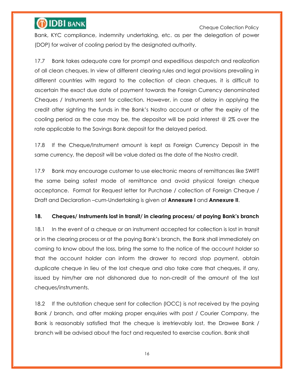Cheque Collection Policy

Bank, KYC compliance, indemnity undertaking, etc. as per the delegation of power (DOP) for waiver of cooling period by the designated authority.

17.7 Bank takes adequate care for prompt and expeditious despatch and realization of all clean cheques. In view of different clearing rules and legal provisions prevailing in different countries with regard to the collection of clean cheques, it is difficult to ascertain the exact due date of payment towards the Foreign Currency denominated Cheques / Instruments sent for collection. However, in case of delay in applying the credit after sighting the funds in the Bank"s Nostro account or after the expiry of the cooling period as the case may be, the depositor will be paid interest @ 2% over the rate applicable to the Savings Bank deposit for the delayed period.

17.8 If the Cheque/Instrument amount is kept as Foreign Currency Deposit in the same currency, the deposit will be value dated as the date of the Nostro credit.

17.9 Bank may encourage customer to use electronic means of remittances like SWIFT the same being safest mode of remittance and avoid physical foreign cheque acceptance. Format for Request letter for Purchase / collection of Foreign Cheque / Draft and Declaration –cum-Undertaking is given at **Annexure I** and **Annexure II**.

#### **18. Cheques/ Instruments lost in transit/ in clearing process/ at paying Bank's branch**

18.1 In the event of a cheque or an instrument accepted for collection is lost in transit or in the clearing process or at the paying Bank"s branch, the Bank shall immediately on coming to know about the loss, bring the same to the notice of the account holder so that the account holder can inform the drawer to record stop payment, obtain duplicate cheque in lieu of the lost cheque and also take care that cheques, if any, issued by him/her are not dishonored due to non-credit of the amount of the lost cheques/instruments.

18.2 If the outstation cheque sent for collection (IOCC) is not received by the paying Bank / branch, and after making proper enquiries with post / Courier Company, the Bank is reasonably satisfied that the cheque is irretrievably lost, the Drawee Bank / branch will be advised about the fact and requested to exercise caution. Bank shall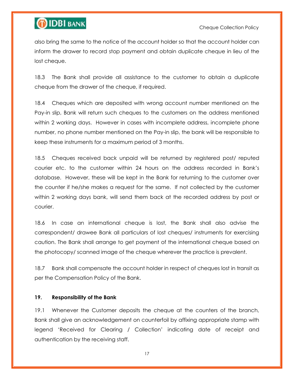

also bring the same to the notice of the account holder so that the account holder can inform the drawer to record stop payment and obtain duplicate cheque in lieu of the lost cheque.

18.3 The Bank shall provide all assistance to the customer to obtain a duplicate cheque from the drawer of the cheque, if required.

18.4 Cheques which are deposited with wrong account number mentioned on the Pay-in slip, Bank will return such cheques to the customers on the address mentioned within 2 working days. However in cases with incomplete address, incomplete phone number, no phone number mentioned on the Pay-in slip, the bank will be responsible to keep these instruments for a maximum period of 3 months.

18.5 Cheques received back unpaid will be returned by registered post/ reputed courier etc. to the customer within 24 hours on the address recorded in Bank"s database. However, these will be kept in the Bank for returning to the customer over the counter if he/she makes a request for the same. If not collected by the customer within 2 working days bank, will send them back at the recorded address by post or courier.

18.6 In case an international cheque is lost, the Bank shall also advise the correspondent/ drawee Bank all particulars of lost cheques/ instruments for exercising caution. The Bank shall arrange to get payment of the international cheque based on the photocopy/ scanned image of the cheque wherever the practice is prevalent.

18.7 Bank shall compensate the account holder in respect of cheques lost in transit as per the Compensation Policy of the Bank.

#### **19. Responsibility of the Bank**

19.1 Whenever the Customer deposits the cheque at the counters of the branch, Bank shall give an acknowledgement on counterfoil by affixing appropriate stamp with legend "Received for Clearing / Collection" indicating date of receipt and authentication by the receiving staff.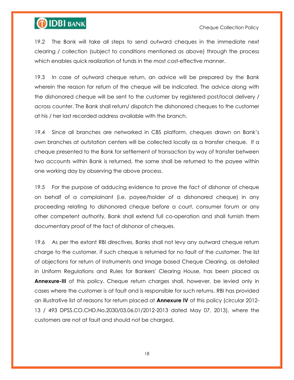# **OIDBI BANK**

#### Cheque Collection Policy

19.2 The Bank will take all steps to send outward cheques in the immediate next clearing / collection (subject to conditions mentioned as above) through the process which enables quick realization of funds in the most cost-effective manner.

19.3 In case of outward cheque return, an advice will be prepared by the Bank wherein the reason for return of the cheque will be indicated. The advice along with the dishonored cheque will be sent to the customer by registered post/local delivery / across counter. The Bank shall return/ dispatch the dishonored cheques to the customer at his / her last recorded address available with the branch.

19.4 Since all branches are networked in CBS platform, cheques drawn on Bank"s own branches at outstation centers will be collected locally as a transfer cheque. If a cheque presented to the Bank for settlement of transaction by way of transfer between two accounts within Bank is returned, the same shall be returned to the payee within one working day by observing the above process.

19.5 For the purpose of adducing evidence to prove the fact of dishonor of cheque on behalf of a complainant (i.e. payee/holder of a dishonored cheque) in any proceeding relating to dishonored cheque before a court, consumer forum or any other competent authority, Bank shall extend full co-operation and shall furnish them documentary proof of the fact of dishonor of cheques.

19.6 As per the extant RBI directives, Banks shall not levy any outward cheque return charge to the customer, if such cheque is returned for no fault of the customer. The list of objections for return of Instruments and Image based Cheque Clearing, as detailed in Uniform Regulations and Rules for Bankers' Clearing House, has been placed as **Annexure-III** of this policy. Cheque return charges shall, however, be levied only in cases where the customer is at fault and is responsible for such returns. RBI has provided an illustrative list of reasons for return placed at **Annexure IV** of this policy (circular 2012- 13 / 493 DPSS.CO.CHD.No.2030/03.06.01/2012-2013 dated May 07, 2013), where the customers are not at fault and should not be charged.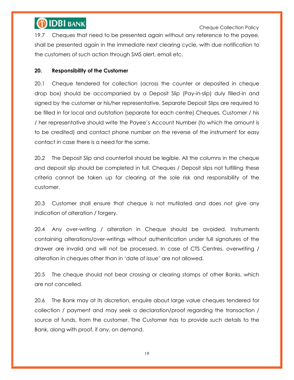Cheque Collection Policy

19.7 Cheques that need to be presented again without any reference to the payee, shall be presented again in the immediate next clearing cycle, with due notification to the customers of such action through SMS alert, email etc.

### **20. Responsibility of the Customer**

20.1 Cheque tendered for collection (across the counter or deposited in cheque drop box) should be accompanied by a Deposit Slip (Pay-in-slip) duly filled-in and signed by the customer or his/her representative. Separate Deposit Slips are required to be filled in for local and outstation (separate for each centre) Cheques. Customer / his / her representative should write the Payee"s Account Number (to which the amount is to be credited) and contact phone number on the reverse of the instrument for easy contact in case there is a need for the same.

20.2 The Deposit Slip and counterfoil should be legible. All the columns in the cheque and deposit slip should be completed in full. Cheques / Deposit slips not fulfilling these criteria cannot be taken up for clearing at the sole risk and responsibility of the customer.

20.3 Customer shall ensure that cheque is not mutilated and does not give any indication of alteration / forgery.

20.4 Any over-writing / alteration in Cheque should be avoided. Instruments containing alterations/over-writings without authentication under full signatures of the drawer are invalid and will not be processed. In case of CTS Centres, overwriting / alteration in cheques other than in "date of issue" are not allowed.

20.5 The cheque should not bear crossing or clearing stamps of other Banks, which are not cancelled.

20.6 The Bank may at its discretion, enquire about large value cheques tendered for collection / payment and may seek a declaration/proof regarding the transaction / source of funds, from the customer. The Customer has to provide such details to the Bank, along with proof, if any, on demand.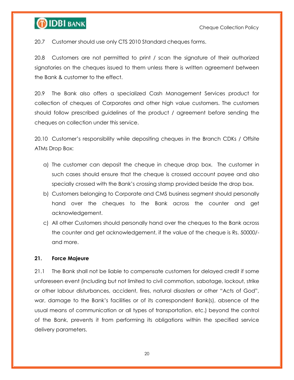

20.7 Customer should use only CTS 2010 Standard cheques forms.

20.8 Customers are not permitted to print / scan the signature of their authorized signatories on the cheques issued to them unless there is written agreement between the Bank & customer to the effect.

20.9 The Bank also offers a specialized Cash Management Services product for collection of cheques of Corporates and other high value customers. The customers should follow prescribed guidelines of the product / agreement before sending the cheques on collection under this service.

20.10 Customer"s responsibility while depositing cheques in the Branch CDKs / Offsite ATMs Drop Box:

- a) The customer can deposit the cheque in cheque drop box. The customer in such cases should ensure that the cheque is crossed account payee and also specially crossed with the Bank"s crossing stamp provided beside the drop box.
- b) Customers belonging to Corporate and CMS business segment should personally hand over the cheques to the Bank across the counter and get acknowledgement.
- c) All other Customers should personally hand over the cheques to the Bank across the counter and get acknowledgement, if the value of the cheque is Rs. 50000/ and more.

#### **21. Force Majeure**

21.1 The Bank shall not be liable to compensate customers for delayed credit if some unforeseen event (including but not limited to civil commotion, sabotage, lockout, strike or other labour disturbances, accident, fires, natural disasters or other "Acts of God", war, damage to the Bank"s facilities or of its correspondent Bank(s), absence of the usual means of communication or all types of transportation, etc.) beyond the control of the Bank, prevents it from performing its obligations within the specified service delivery parameters.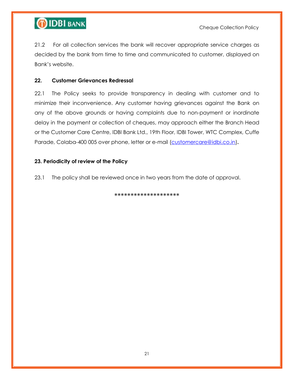

21.2 For all collection services the bank will recover appropriate service charges as decided by the bank from time to time and communicated to customer, displayed on Bank"s website.

### **22. Customer Grievances Redressal**

22.1 The Policy seeks to provide transparency in dealing with customer and to minimize their inconvenience. Any customer having grievances against the Bank on any of the above grounds or having complaints due to non-payment or inordinate delay in the payment or collection of cheques, may approach either the Branch Head or the Customer Care Centre, IDBI Bank Ltd., 19th Floor, IDBI Tower, WTC Complex, Cuffe Parade, Colaba-400 005 over phone, letter or e-mail [\(customercare@idbi.co.in\)](mailto:customercare@idbi.co.in).

#### **23. Periodicity of review of the Policy**

23.1 The policy shall be reviewed once in two years from the date of approval.

\*\*\*\*\*\*\*\*\*\*\*\*\*\*\*\*\*\*\*\*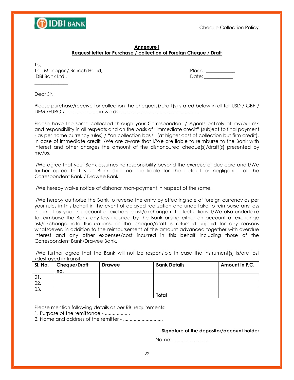

#### **Annexure I Request letter for Purchase / collection of Foreign Cheque / Draft**

To, The Manager / Branch Head, The Manager / Branch Head, Place: 2011 IDBI Bank Ltd., Date: \_\_\_\_\_\_\_\_\_\_\_\_

Dear Sir,

 $\overline{\phantom{a}}$  , where  $\overline{\phantom{a}}$ 

Please purchase/receive for collection the cheque(s)/draft(s) stated below in all for USD / GBP / DEM /EURO / .........................in words ............................................................

Please have the same collected through your Correspondent / Agents entirely at my/our risk and responsibility in all respects and on the basis of "immediate credit" (subject to final payment - as per home currency rules) / "on collection basis" (at higher cost of collection but firm credit). In case of immediate credit I/We are aware that I/We are liable to reimburse to the Bank with interest and other charges the amount of the dishonoured cheque(s)/draft(s) presented by me/us.

I/We agree that your Bank assumes no responsibility beyond the exercise of due care and I/We further agree that your Bank shall not be liable for the default or negligence of the Correspondent Bank / Drawee Bank.

I/We hereby waive notice of dishonor /non-payment in respect of the same.

I/We hereby authorize the Bank to reverse the entry by effecting sale of foreign currency as per your rules in this behalf in the event of delayed realization and undertake to reimburse any loss incurred by you on account of exchange risk/exchange rate fluctuations. I/We also undertake to reimburse the Bank any loss incurred by the Bank arising either on account of exchange risk/exchange rate fluctuations, or the cheque/draft is returned unpaid for any reasons whatsoever, in addition to the reimbursement of the amount advanced together with overdue interest and any other expenses/cost incurred in this behalf including those of the Correspondent Bank/Drawee Bank.

I/We further agree that the Bank will not be responsible in case the instrument(s) is/are lost /destroyed in transit.

| SI. No. | Cheque/Draft | <b>Drawee</b> | <b>Bank Details</b> | Amount in F.C. |
|---------|--------------|---------------|---------------------|----------------|
|         | no.          |               |                     |                |
| 01.     |              |               |                     |                |
| 02.     |              |               |                     |                |
| 03.     |              |               |                     |                |
|         |              |               | Total               |                |

Please mention following details as per RBI requirements:

1. Purpose of the remittance - ...................

2. Name and address of the remitter - ..............................

**Signature of the depositor/account holder**

Name:.............................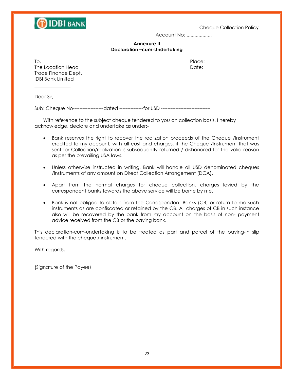

Account No: ...................

#### **Annexure II Declaration –cum-Undertaking**

The Location Head **Date:** The Location Head Date: Trade Finance Dept. IDBI Bank Limited

 $\overline{\phantom{a}}$  , where  $\overline{\phantom{a}}$ 

To, the contract of the contract of the contract of the contract of the Place:

Dear Sir,

Sub: Cheque No----------------------dated -----------------for USD ------

With reference to the subject cheque tendered to you on collection basis, I hereby acknowledge, declare and undertake as under:-

- Bank reserves the right to recover the realization proceeds of the Cheque /Instrument credited to my account, with all cost and charges, if the Cheque /Instrument that was sent for Collection/realization is subsequently returned / dishonored for the valid reason as per the prevailing USA laws.
- Unless otherwise instructed in writing, Bank will handle all USD denominated cheques /instruments of any amount on Direct Collection Arrangement (DCA).
- Apart from the normal charges for cheque collection, charges levied by the correspondent banks towards the above service will be borne by me.
- Bank is not obliged to obtain from the Correspondent Banks (CB) or return to me such instruments as are confiscated or retained by the CB. All charges of CB in such instance also will be recovered by the bank from my account on the basis of non- payment advice received from the CB or the paying bank.

This declaration-cum-undertaking is to be treated as part and parcel of the paying-in slip tendered with the cheque / instrument.

With regards,

(Signature of the Payee)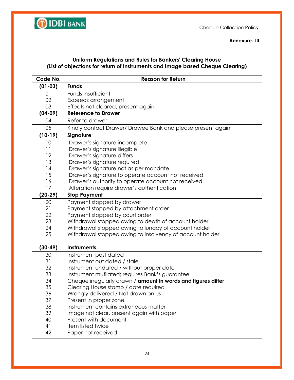

**Annexure- III**

### **Uniform Regulations and Rules for Bankers' Clearing House (List of objections for return of Instruments and Image based Cheque Clearing)**

| Code No.  | <b>Reason for Return</b>                                      |  |  |  |
|-----------|---------------------------------------------------------------|--|--|--|
| $(01-03)$ | <b>Funds</b>                                                  |  |  |  |
| 01        | Funds insufficient                                            |  |  |  |
| 02        | Exceeds arrangement                                           |  |  |  |
| 03        | Effects not cleared, present again.                           |  |  |  |
| $(04-09)$ | <b>Reference to Drawer</b>                                    |  |  |  |
| 04        | Refer to drawer                                               |  |  |  |
| 05        | Kindly contact Drawer/ Drawee Bank and please present again   |  |  |  |
| $(10-19)$ | Signature                                                     |  |  |  |
| 10        | Drawer's signature incomplete                                 |  |  |  |
| 11        | Drawer's signature illegible                                  |  |  |  |
| 12        | Drawer's signature differs                                    |  |  |  |
| 13        | Drawer's signature required                                   |  |  |  |
| 14        | Drawer's signature not as per mandate                         |  |  |  |
| 15        | Drawer's signature to operate account not received            |  |  |  |
| 16        | Drawer's authority to operate account not received            |  |  |  |
| 17        | Alteration require drawer's authentication                    |  |  |  |
| $(20-29)$ | <b>Stop Payment</b>                                           |  |  |  |
| 20        | Payment stopped by drawer                                     |  |  |  |
| 21        | Payment stopped by attachment order                           |  |  |  |
| 22        | Payment stopped by court order                                |  |  |  |
| 23        | Withdrawal stopped owing to death of account holder           |  |  |  |
| 24        | Withdrawal stopped owing to lunacy of account holder          |  |  |  |
| 25        | Withdrawal stopped owing to insolvency of account holder      |  |  |  |
|           |                                                               |  |  |  |
| $(30-49)$ | <b>Instruments</b>                                            |  |  |  |
| 30        | Instrument post dated                                         |  |  |  |
| 31        | Instrument out dated / stale                                  |  |  |  |
| 32        | Instrument undated / without proper date                      |  |  |  |
| 33        | Instrument mutilated; requires Bank's guarantee               |  |  |  |
| 34        | Cheque irregularly drawn / amount in words and figures differ |  |  |  |
| 35        | Clearing House stamp / date required                          |  |  |  |
| 36        | Wrongly delivered / Not drawn on us                           |  |  |  |
| 37        | Present in proper zone                                        |  |  |  |
| 38        | Instrument contains extraneous matter                         |  |  |  |
| 39        | Image not clear, present again with paper                     |  |  |  |
| 40        | Present with document                                         |  |  |  |
| 41        | Item listed twice                                             |  |  |  |
| 42        | Paper not received                                            |  |  |  |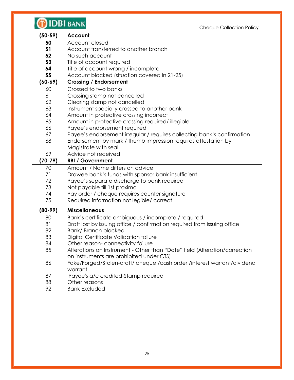| <b>IDBI BANK</b><br>Cheque Collection Policy |                                                                                                                     |  |  |
|----------------------------------------------|---------------------------------------------------------------------------------------------------------------------|--|--|
| $(50-59)$                                    | Account                                                                                                             |  |  |
| 50                                           | Account closed                                                                                                      |  |  |
| 51                                           | Account transferred to another branch                                                                               |  |  |
| 52                                           | No such account                                                                                                     |  |  |
| 53                                           | Title of account required                                                                                           |  |  |
| 54                                           | Title of account wrong / incomplete                                                                                 |  |  |
| 55                                           | Account blocked (situation covered in 21-25)                                                                        |  |  |
| $(60-69)$                                    | <b>Crossing / Endorsement</b>                                                                                       |  |  |
| 60                                           | Crossed to two banks                                                                                                |  |  |
| 61                                           | Crossing stamp not cancelled                                                                                        |  |  |
| 62                                           | Clearing stamp not cancelled                                                                                        |  |  |
| 63                                           | Instrument specially crossed to another bank                                                                        |  |  |
| 64                                           | Amount in protective crossing incorrect                                                                             |  |  |
| 65                                           | Amount in protective crossing required/ illegible                                                                   |  |  |
| 66                                           | Payee's endorsement required                                                                                        |  |  |
| 67                                           | Payee's endorsement irregular / requires collecting bank's confirmation                                             |  |  |
| 68                                           | Endorsement by mark / thumb impression requires attestation by                                                      |  |  |
|                                              | Magistrate with seal.                                                                                               |  |  |
| 69                                           | Advice not received                                                                                                 |  |  |
| $(70-79)$                                    | <b>RBI / Government</b>                                                                                             |  |  |
| 70                                           | Amount / Name differs on advice                                                                                     |  |  |
| 71                                           | Drawee bank's funds with sponsor bank insufficient                                                                  |  |  |
| 72                                           | Payee's separate discharge to bank required                                                                         |  |  |
| 73                                           | Not payable till 1st proximo                                                                                        |  |  |
| 74                                           | Pay order / cheque requires counter signature                                                                       |  |  |
| 75                                           | Required information not legible/ correct                                                                           |  |  |
| $(80-99)$                                    | <b>Miscellaneous</b>                                                                                                |  |  |
| 80                                           | Bank's certificate ambiguous / incomplete / required                                                                |  |  |
| 81                                           | Draft lost by issuing office / confirmation required from issuing office                                            |  |  |
| 82                                           | <b>Bank/ Branch blocked</b>                                                                                         |  |  |
| 83                                           | Digital Certificate Validation failure                                                                              |  |  |
| 84                                           | Other reason-connectivity failure                                                                                   |  |  |
| 85                                           | Alterations on Instrument - Other than "Date" field (Alteration/correction                                          |  |  |
|                                              |                                                                                                                     |  |  |
| 86                                           | on instruments are prohibited under CTS)<br>Fake/Forged/Stolen-draft/ cheque /cash order /interest warrant/dividend |  |  |
|                                              | warrant                                                                                                             |  |  |
| 87                                           | 'Payee's a/c credited-Stamp required                                                                                |  |  |
| 88<br>92                                     | Other reasons<br><b>Bank Excluded</b>                                                                               |  |  |